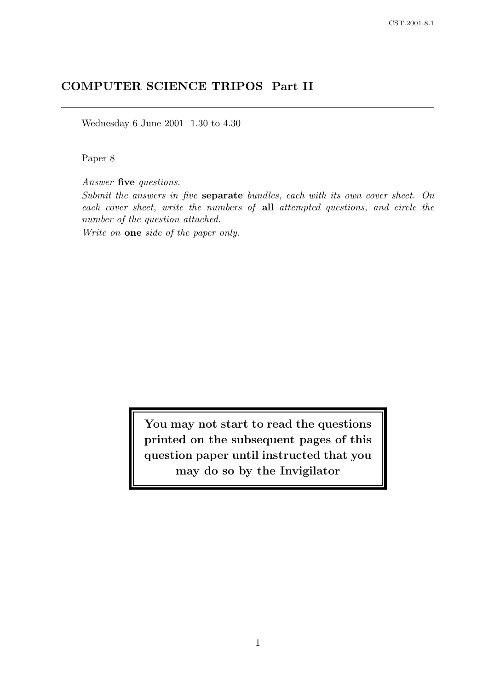# COMPUTER SCIENCE TRIPOS Part II

Wednesday 6 June 2001 1.30 to 4.30

Paper 8

Answer five questions.

Submit the answers in five separate bundles, each with its own cover sheet. On each cover sheet, write the numbers of all attempted questions, and circle the number of the question attached.

Write on one side of the paper only.

You may not start to read the questions printed on the subsequent pages of this question paper until instructed that you may do so by the Invigilator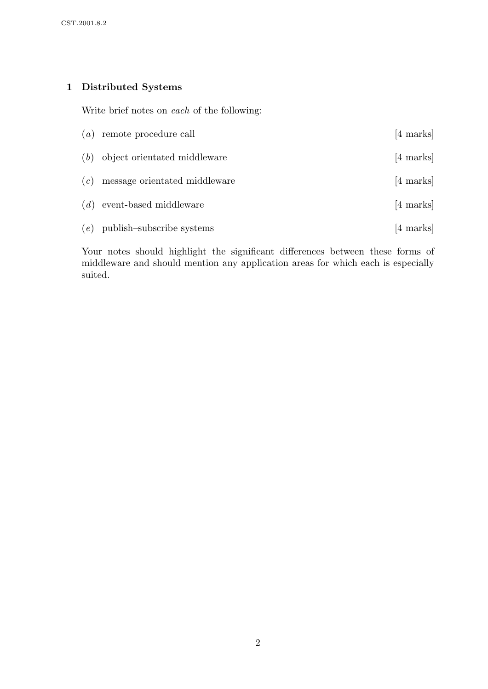## 1 Distributed Systems

Write brief notes on each of the following:

|     | $(a)$ remote procedure call        | $[4 \text{ marks}]$ |
|-----|------------------------------------|---------------------|
|     | $(b)$ object orientated middleware | $[4 \text{ marks}]$ |
| (c) | message orientated middleware      | [4 marks]           |
|     | $(d)$ event-based middleware       | [4 marks]           |
|     | $(e)$ publish-subscribe systems    | $[4 \text{ marks}]$ |

Your notes should highlight the significant differences between these forms of middleware and should mention any application areas for which each is especially suited.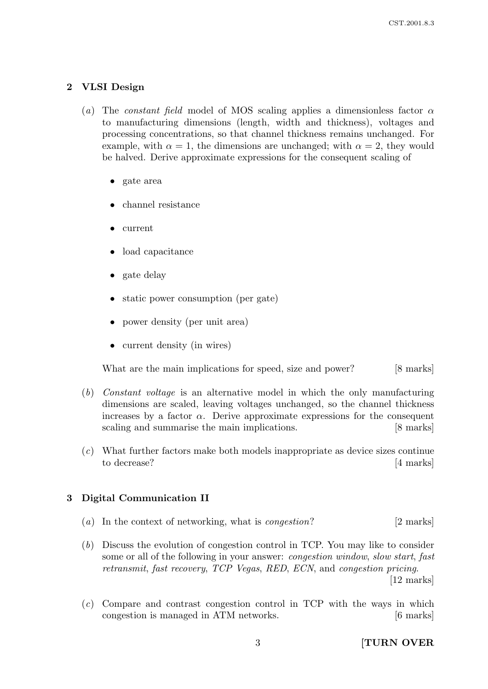#### 2 VLSI Design

- (a) The constant field model of MOS scaling applies a dimensionless factor  $\alpha$ to manufacturing dimensions (length, width and thickness), voltages and processing concentrations, so that channel thickness remains unchanged. For example, with  $\alpha = 1$ , the dimensions are unchanged; with  $\alpha = 2$ , they would be halved. Derive approximate expressions for the consequent scaling of
	- gate area
	- channel resistance
	- current
	- load capacitance
	- gate delay
	- static power consumption (per gate)
	- power density (per unit area)
	- current density (in wires)

What are the main implications for speed, size and power? [8 marks]

- (b) Constant voltage is an alternative model in which the only manufacturing dimensions are scaled, leaving voltages unchanged, so the channel thickness increases by a factor  $\alpha$ . Derive approximate expressions for the consequent scaling and summarise the main implications. [8 marks]
- (c) What further factors make both models inappropriate as device sizes continue to decrease? [4 marks]

#### 3 Digital Communication II

- (a) In the context of networking, what is *congestion*? [2 marks]
- (b) Discuss the evolution of congestion control in TCP. You may like to consider some or all of the following in your answer: congestion window, slow start, fast retransmit, fast recovery, TCP Vegas, RED, ECN, and congestion pricing.

[12 marks]

 $(c)$  Compare and contrast congestion control in TCP with the ways in which congestion is managed in ATM networks. [6 marks]

3 **[TURN OVER**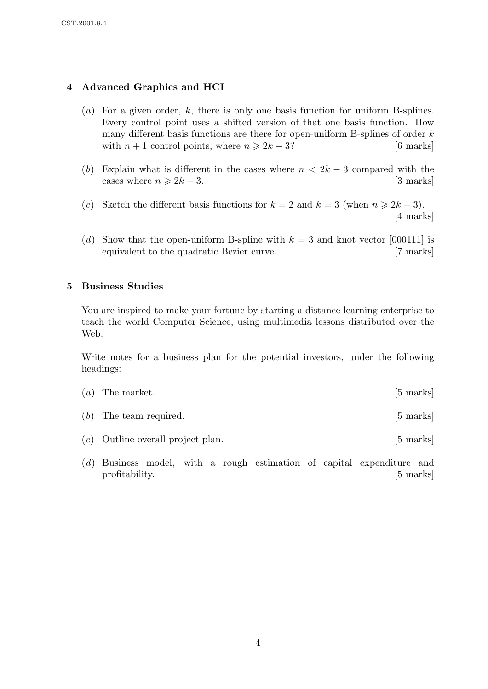### 4 Advanced Graphics and HCI

- $(a)$  For a given order, k, there is only one basis function for uniform B-splines. Every control point uses a shifted version of that one basis function. How many different basis functions are there for open-uniform B-splines of order  $k$ with  $n + 1$  control points, where  $n \ge 2k - 3$ ? [6 marks]
- (b) Explain what is different in the cases where  $n < 2k 3$  compared with the cases where  $n \geq 2k - 3$ . [3 marks]
- (c) Sketch the different basis functions for  $k = 2$  and  $k = 3$  (when  $n \ge 2k 3$ ). [4 marks]
- (d) Show that the open-uniform B-spline with  $k = 3$  and knot vector [000111] is equivalent to the quadratic Bezier curve. [7 marks]

#### 5 Business Studies

You are inspired to make your fortune by starting a distance learning enterprise to teach the world Computer Science, using multimedia lessons distributed over the Web.

Write notes for a business plan for the potential investors, under the following headings:

- $(a)$  The market. [5 marks]  $(b)$  The team required.  $[5 \text{ marks}]$
- (c) Outline overall project plan. [5 marks]
- (d) Business model, with a rough estimation of capital expenditure and profitability. [5 marks]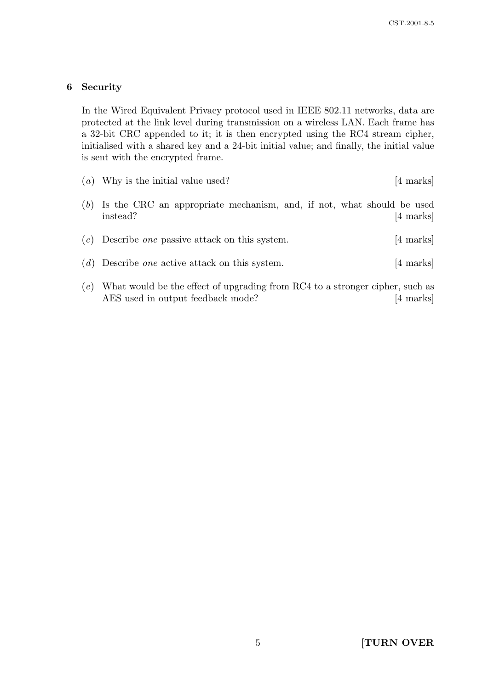#### 6 Security

In the Wired Equivalent Privacy protocol used in IEEE 802.11 networks, data are protected at the link level during transmission on a wireless LAN. Each frame has a 32-bit CRC appended to it; it is then encrypted using the RC4 stream cipher, initialised with a shared key and a 24-bit initial value; and finally, the initial value is sent with the encrypted frame.

|     | $(a)$ Why is the initial value used?                                              | [4 marks]           |
|-----|-----------------------------------------------------------------------------------|---------------------|
| (b) | Is the CRC an appropriate mechanism, and, if not, what should be used<br>instead? | $[4 \text{ marks}]$ |
|     | $(c)$ Describe <i>one</i> passive attack on this system.                          | $[4 \text{ marks}]$ |
|     | $(d)$ Describe <i>one</i> active attack on this system.                           | [4 marks]           |
|     | (e) What would be the effect of upgrading from RC4 to a stronger cipper such as   |                     |

 $(e)$  What would be the effect of upgrading from RC4 to a stronger cip AES used in output feedback mode? [4 marks]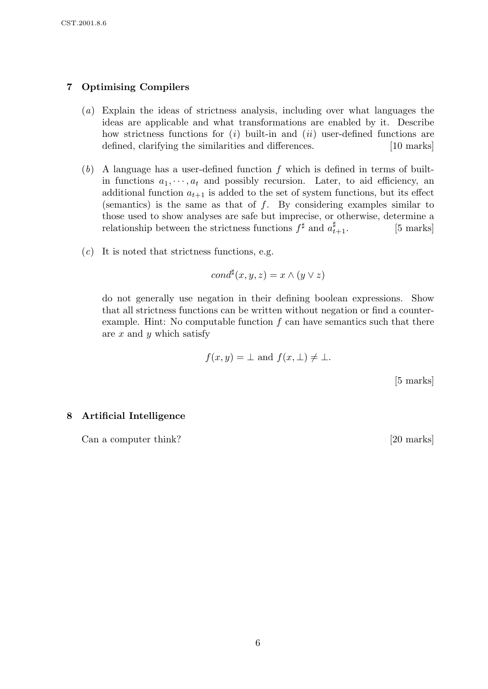## 7 Optimising Compilers

- (a) Explain the ideas of strictness analysis, including over what languages the ideas are applicable and what transformations are enabled by it. Describe how strictness functions for  $(i)$  built-in and  $(ii)$  user-defined functions are defined, clarifying the similarities and differences. [10 marks]
- $(b)$  A language has a user-defined function f which is defined in terms of builtin functions  $a_1, \dots, a_t$  and possibly recursion. Later, to aid efficiency, an additional function  $a_{t+1}$  is added to the set of system functions, but its effect (semantics) is the same as that of  $f$ . By considering examples similar to those used to show analyses are safe but imprecise, or otherwise, determine a relationship between the strictness functions  $f^{\sharp}$  and  $a_{t}^{\sharp}$  $[5$  marks]
- $(c)$  It is noted that strictness functions, e.g.

$$
cond^{\sharp}(x, y, z) = x \wedge (y \vee z)
$$

do not generally use negation in their defining boolean expressions. Show that all strictness functions can be written without negation or find a counterexample. Hint: No computable function  $f$  can have semantics such that there are  $x$  and  $y$  which satisfy

$$
f(x, y) = \bot
$$
 and  $f(x, \bot) \neq \bot$ .

[5 marks]

#### 8 Artificial Intelligence

Can a computer think? [20 marks]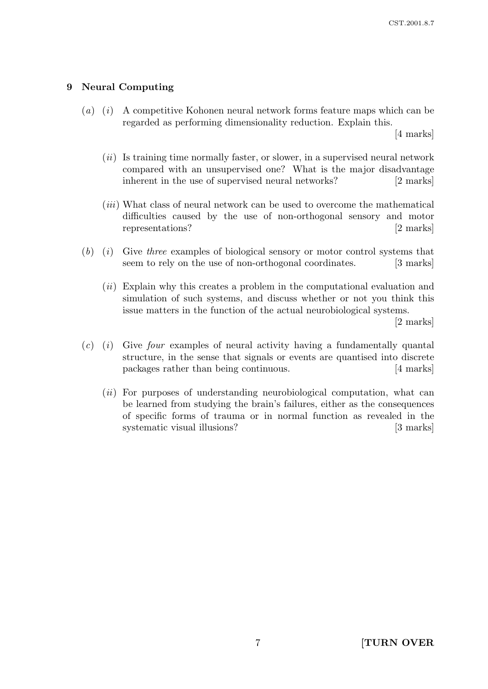#### 9 Neural Computing

 $(a)$  (i) A competitive Kohonen neural network forms feature maps which can be regarded as performing dimensionality reduction. Explain this.

[4 marks]

- $(ii)$  Is training time normally faster, or slower, in a supervised neural network compared with an unsupervised one? What is the major disadvantage inherent in the use of supervised neural networks? [2 marks]
- (iii) What class of neural network can be used to overcome the mathematical difficulties caused by the use of non-orthogonal sensory and motor representations? [2 marks]
- $(b)$  (i) Give three examples of biological sensory or motor control systems that seem to rely on the use of non-orthogonal coordinates. [3 marks]
	- (ii) Explain why this creates a problem in the computational evaluation and simulation of such systems, and discuss whether or not you think this issue matters in the function of the actual neurobiological systems.

[2 marks]

- $(c)$  (i) Give four examples of neural activity having a fundamentally quantal structure, in the sense that signals or events are quantised into discrete packages rather than being continuous. [4 marks]
	- (*ii*) For purposes of understanding neurobiological computation, what can be learned from studying the brain's failures, either as the consequences of specific forms of trauma or in normal function as revealed in the systematic visual illusions? [3 marks]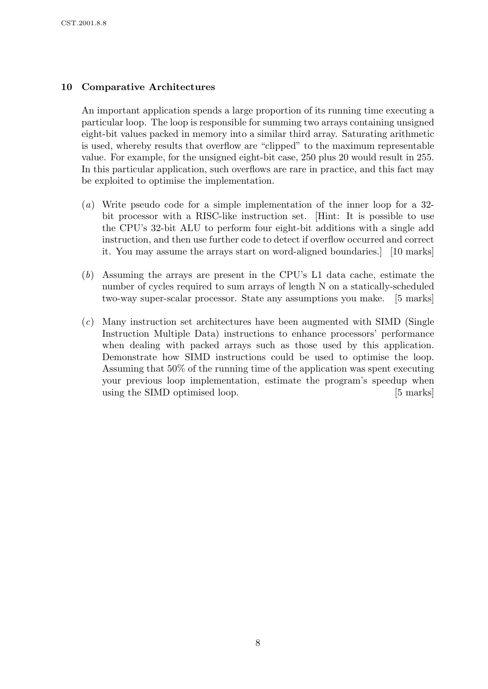## 10 Comparative Architectures

An important application spends a large proportion of its running time executing a particular loop. The loop is responsible for summing two arrays containing unsigned eight-bit values packed in memory into a similar third array. Saturating arithmetic is used, whereby results that overflow are "clipped" to the maximum representable value. For example, for the unsigned eight-bit case, 250 plus 20 would result in 255. In this particular application, such overflows are rare in practice, and this fact may be exploited to optimise the implementation.

- (a) Write pseudo code for a simple implementation of the inner loop for a 32 bit processor with a RISC-like instruction set. [Hint: It is possible to use the CPU's 32-bit ALU to perform four eight-bit additions with a single add instruction, and then use further code to detect if overflow occurred and correct it. You may assume the arrays start on word-aligned boundaries.] [10 marks]
- (b) Assuming the arrays are present in the CPU's L1 data cache, estimate the number of cycles required to sum arrays of length N on a statically-scheduled two-way super-scalar processor. State any assumptions you make. [5 marks]
- (c) Many instruction set architectures have been augmented with SIMD (Single Instruction Multiple Data) instructions to enhance processors' performance when dealing with packed arrays such as those used by this application. Demonstrate how SIMD instructions could be used to optimise the loop. Assuming that 50% of the running time of the application was spent executing your previous loop implementation, estimate the program's speedup when using the SIMD optimised loop. [5 marks]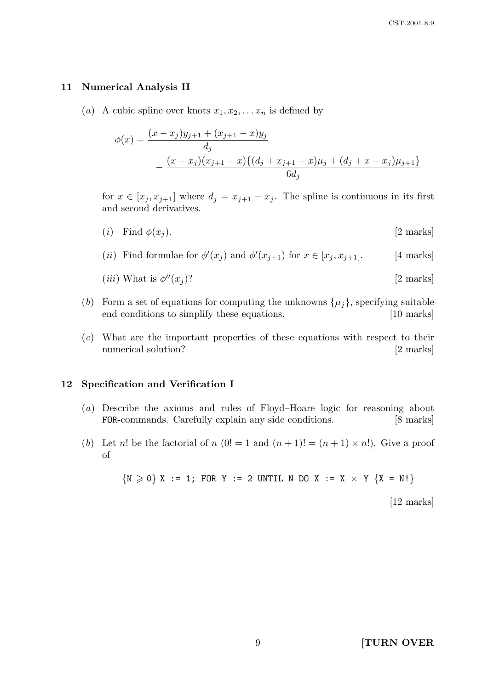#### 11 Numerical Analysis II

(a) A cubic spline over knots  $x_1, x_2, \ldots x_n$  is defined by

$$
\phi(x) = \frac{(x - x_j)y_{j+1} + (x_{j+1} - x)y_j}{d_j}
$$

$$
- \frac{(x - x_j)(x_{j+1} - x)\{(d_j + x_{j+1} - x)\mu_j + (d_j + x - x_j)\mu_{j+1}\}}{6d_j}
$$

for  $x \in [x_j, x_{j+1}]$  where  $d_j = x_{j+1} - x_j$ . The spline is continuous in its first and second derivatives.

- (i) Find  $\phi(x_i)$ . [2 marks]
- (*ii*) Find formulae for  $\phi'(x_j)$  and  $\phi'(x_{j+1})$  for  $x \in [x_j, x_{j+1}]$ . [4 marks]

(*iii*) What is 
$$
\phi''(x_j)
$$
? [2 marks]

- (b) Form a set of equations for computing the unknowns  $\{\mu_j\}$ , specifying suitable end conditions to simplify these equations. [10 marks]
- (c) What are the important properties of these equations with respect to their numerical solution? [2 marks]

#### 12 Specification and Verification I

- (a) Describe the axioms and rules of Floyd–Hoare logic for reasoning about FOR-commands. Carefully explain any side conditions. [8 marks]
- (b) Let n! be the factorial of n  $(0! = 1$  and  $(n + 1)! = (n + 1) \times n!)$ . Give a proof of

 $\{N \ge 0\}$  X := 1; FOR Y := 2 UNTIL N DO X := X × Y  $\{X = N!\}$ 

[12 marks]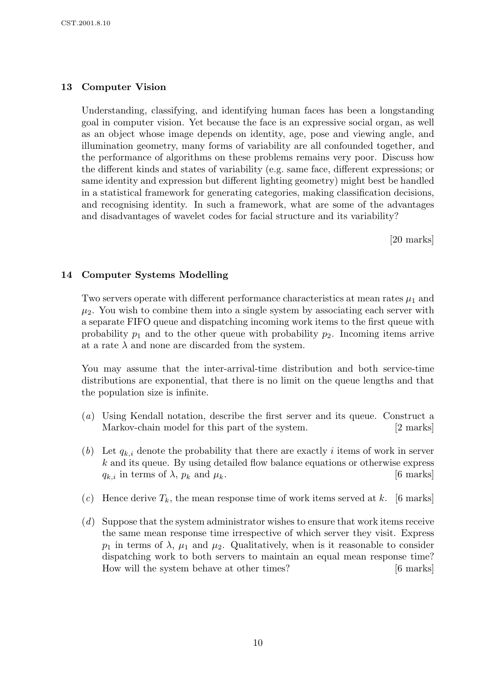### 13 Computer Vision

Understanding, classifying, and identifying human faces has been a longstanding goal in computer vision. Yet because the face is an expressive social organ, as well as an object whose image depends on identity, age, pose and viewing angle, and illumination geometry, many forms of variability are all confounded together, and the performance of algorithms on these problems remains very poor. Discuss how the different kinds and states of variability (e.g. same face, different expressions; or same identity and expression but different lighting geometry) might best be handled in a statistical framework for generating categories, making classification decisions, and recognising identity. In such a framework, what are some of the advantages and disadvantages of wavelet codes for facial structure and its variability?

[20 marks]

#### 14 Computer Systems Modelling

Two servers operate with different performance characteristics at mean rates  $\mu_1$  and  $\mu_2$ . You wish to combine them into a single system by associating each server with a separate FIFO queue and dispatching incoming work items to the first queue with probability  $p_1$  and to the other queue with probability  $p_2$ . Incoming items arrive at a rate  $\lambda$  and none are discarded from the system.

You may assume that the inter-arrival-time distribution and both service-time distributions are exponential, that there is no limit on the queue lengths and that the population size is infinite.

- (a) Using Kendall notation, describe the first server and its queue. Construct a Markov-chain model for this part of the system. [2 marks]
- (b) Let  $q_{k,i}$  denote the probability that there are exactly i items of work in server k and its queue. By using detailed flow balance equations or otherwise express  $q_{k,i}$  in terms of  $\lambda$ ,  $p_k$  and  $\mu_k$ . [6 marks]
- (c) Hence derive  $T_k$ , the mean response time of work items served at k. [6 marks]
- (d) Suppose that the system administrator wishes to ensure that work items receive the same mean response time irrespective of which server they visit. Express  $p_1$  in terms of  $\lambda$ ,  $\mu_1$  and  $\mu_2$ . Qualitatively, when is it reasonable to consider dispatching work to both servers to maintain an equal mean response time? How will the system behave at other times? [6 marks]